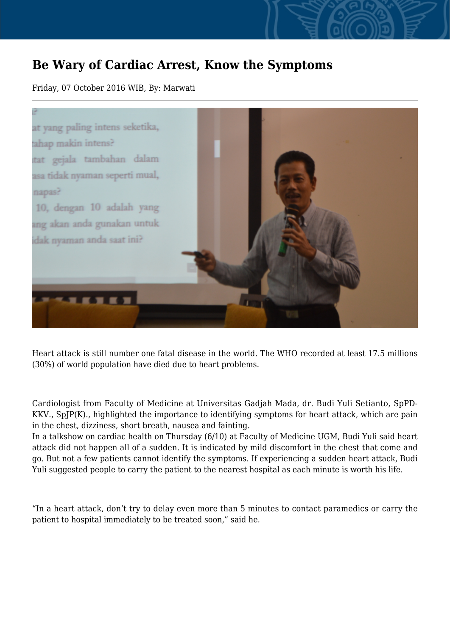## **Be Wary of Cardiac Arrest, Know the Symptoms**

Friday, 07 October 2016 WIB, By: Marwati



Heart attack is still number one fatal disease in the world. The WHO recorded at least 17.5 millions (30%) of world population have died due to heart problems.

Cardiologist from Faculty of Medicine at Universitas Gadjah Mada, dr. Budi Yuli Setianto, SpPD-KKV., SpJP(K)., highlighted the importance to identifying symptoms for heart attack, which are pain in the chest, dizziness, short breath, nausea and fainting.

In a talkshow on cardiac health on Thursday (6/10) at Faculty of Medicine UGM, Budi Yuli said heart attack did not happen all of a sudden. It is indicated by mild discomfort in the chest that come and go. But not a few patients cannot identify the symptoms. If experiencing a sudden heart attack, Budi Yuli suggested people to carry the patient to the nearest hospital as each minute is worth his life.

"In a heart attack, don't try to delay even more than 5 minutes to contact paramedics or carry the patient to hospital immediately to be treated soon," said he.